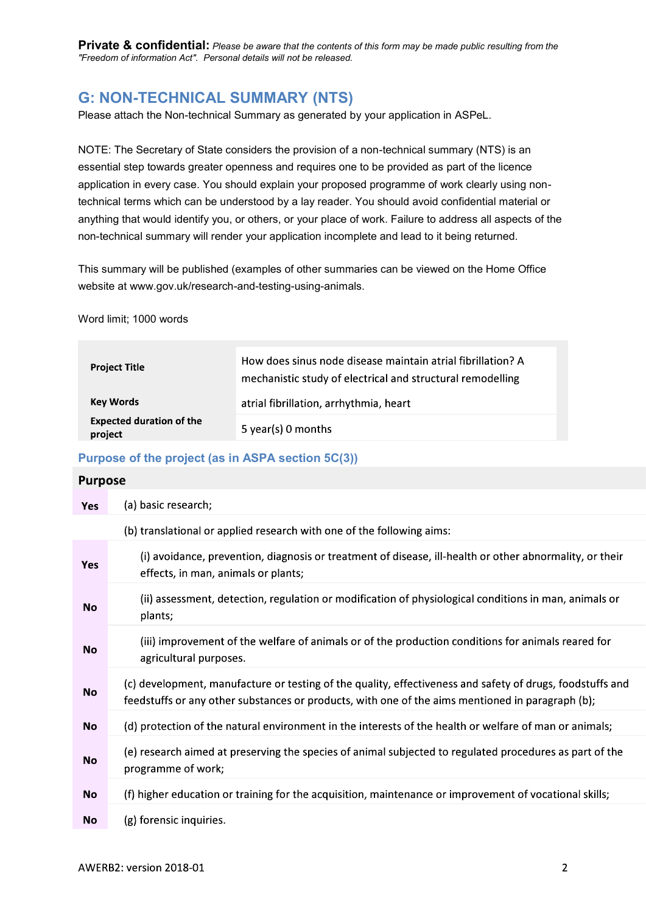**Private & confidential:** Please be aware that the contents of this form may be made public resulting from the "Freedom of information Act". Personal details will not be released.

# G: NON-TECHNICAL SUMMARY (NTS)

Please attach the Non-technical Summary as generated by your application in ASPeL.

NOTE: The Secretary of State considers the provision of a non-technical summary (NTS) is an essential step towards greater openness and requires one to be provided as part of the licence application in every case. You should explain your proposed programme of work clearly using nontechnical terms which can be understood by a lay reader. You should avoid confidential material or anything that would identify you, or others, or your place of work. Failure to address all aspects of the non-technical summary will render your application incomplete and lead to it being returned.

This summary will be published (examples of other summaries can be viewed on the Home Office website at www.gov.uk/research-and-testing-using-animals.

Word limit; 1000 words

| <b>Project Title</b>                                    | How does sinus node disease maintain atrial fibrillation? A<br>mechanistic study of electrical and structural remodelling |
|---------------------------------------------------------|---------------------------------------------------------------------------------------------------------------------------|
| Key Words<br><b>Expected duration of the</b><br>project | atrial fibrillation, arrhythmia, heart                                                                                    |
|                                                         | 5 year(s) 0 months                                                                                                        |

#### Purpose of the project (as in ASPA section 5C(3))

| <b>Purpose</b> |                                                                                                                                                                                                               |
|----------------|---------------------------------------------------------------------------------------------------------------------------------------------------------------------------------------------------------------|
| <b>Yes</b>     | (a) basic research;                                                                                                                                                                                           |
|                | (b) translational or applied research with one of the following aims:                                                                                                                                         |
| <b>Yes</b>     | (i) avoidance, prevention, diagnosis or treatment of disease, ill-health or other abnormality, or their<br>effects, in man, animals or plants;                                                                |
| No             | (ii) assessment, detection, regulation or modification of physiological conditions in man, animals or<br>plants;                                                                                              |
| <b>No</b>      | (iii) improvement of the welfare of animals or of the production conditions for animals reared for<br>agricultural purposes.                                                                                  |
| <b>No</b>      | (c) development, manufacture or testing of the quality, effectiveness and safety of drugs, foodstuffs and<br>feedstuffs or any other substances or products, with one of the aims mentioned in paragraph (b); |
| <b>No</b>      | (d) protection of the natural environment in the interests of the health or welfare of man or animals;                                                                                                        |
| <b>No</b>      | (e) research aimed at preserving the species of animal subjected to regulated procedures as part of the<br>programme of work;                                                                                 |
| <b>No</b>      | (f) higher education or training for the acquisition, maintenance or improvement of vocational skills;                                                                                                        |
| No             | (g) forensic inquiries.                                                                                                                                                                                       |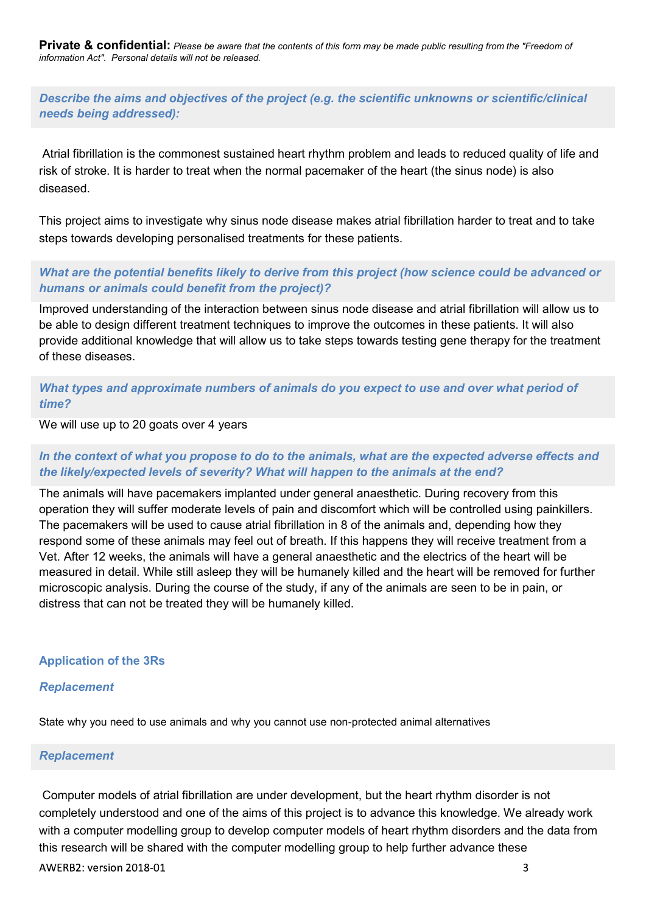Private & confidential: Please be aware that the contents of this form may be made public resulting from the "Freedom of information Act". Personal details will not be released.

Describe the aims and objectives of the project (e.g. the scientific unknowns or scientific/clinical needs being addressed):

Atrial fibrillation is the commonest sustained heart rhythm problem and leads to reduced quality of life and risk of stroke. It is harder to treat when the normal pacemaker of the heart (the sinus node) is also diseased.

This project aims to investigate why sinus node disease makes atrial fibrillation harder to treat and to take steps towards developing personalised treatments for these patients.

What are the potential benefits likely to derive from this project (how science could be advanced or humans or animals could benefit from the project)?

Improved understanding of the interaction between sinus node disease and atrial fibrillation will allow us to be able to design different treatment techniques to improve the outcomes in these patients. It will also provide additional knowledge that will allow us to take steps towards testing gene therapy for the treatment of these diseases.

What types and approximate numbers of animals do you expect to use and over what period of time?

We will use up to 20 goats over 4 years

## In the context of what you propose to do to the animals, what are the expected adverse effects and the likely/expected levels of severity? What will happen to the animals at the end?

The animals will have pacemakers implanted under general anaesthetic. During recovery from this operation they will suffer moderate levels of pain and discomfort which will be controlled using painkillers. The pacemakers will be used to cause atrial fibrillation in 8 of the animals and, depending how they respond some of these animals may feel out of breath. If this happens they will receive treatment from a Vet. After 12 weeks, the animals will have a general anaesthetic and the electrics of the heart will be measured in detail. While still asleep they will be humanely killed and the heart will be removed for further microscopic analysis. During the course of the study, if any of the animals are seen to be in pain, or distress that can not be treated they will be humanely killed.

#### Application of the 3Rs

#### Replacement

State why you need to use animals and why you cannot use non-protected animal alternatives

#### Replacement

Computer models of atrial fibrillation are under development, but the heart rhythm disorder is not completely understood and one of the aims of this project is to advance this knowledge. We already work with a computer modelling group to develop computer models of heart rhythm disorders and the data from this research will be shared with the computer modelling group to help further advance these AWERB2: version 2018-01 3